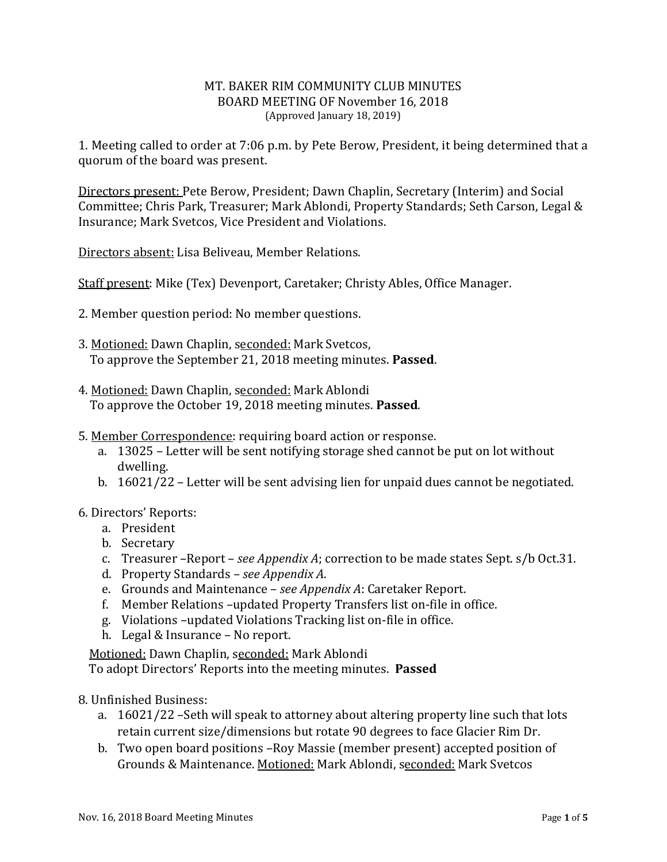#### MT. BAKER RIM COMMUNITY CLUB MINUTES BOARD MEETING OF November 16, 2018 (Approved January 18, 2019)

1. Meeting called to order at 7:06 p.m. by Pete Berow, President, it being determined that a quorum of the board was present.

Directors present: Pete Berow, President; Dawn Chaplin, Secretary (Interim) and Social Committee; Chris Park, Treasurer; Mark Ablondi, Property Standards; Seth Carson, Legal & Insurance; Mark Svetcos, Vice President and Violations.

Directors absent: Lisa Beliveau, Member Relations.

Staff present: Mike (Tex) Devenport, Caretaker; Christy Ables, Office Manager.

- 2. Member question period: No member questions.
- 3. Motioned: Dawn Chaplin, seconded: Mark Svetcos, To approve the September 21, 2018 meeting minutes. **Passed**.
- 4. Motioned: Dawn Chaplin, seconded: Mark Ablondi To approve the October 19, 2018 meeting minutes. **Passed**.
- 5. Member Correspondence: requiring board action or response.
	- a. 13025 Letter will be sent notifying storage shed cannot be put on lot without dwelling.
	- b. 16021/22 Letter will be sent advising lien for unpaid dues cannot be negotiated.
- 6. Directors' Reports:
	- a. President
	- b. Secretary
	- c. Treasurer –Report *see Appendix A*; correction to be made states Sept. s/b Oct.31.
	- d. Property Standards *see Appendix A*.
	- e. Grounds and Maintenance *see Appendix A*: Caretaker Report.
	- f. Member Relations –updated Property Transfers list on-file in office.
	- g. Violations –updated Violations Tracking list on-file in office.
	- h. Legal & Insurance No report.

Motioned: Dawn Chaplin, seconded: Mark Ablondi

To adopt Directors' Reports into the meeting minutes. **Passed**

- 8. Unfinished Business:
	- a. 16021/22 –Seth will speak to attorney about altering property line such that lots retain current size/dimensions but rotate 90 degrees to face Glacier Rim Dr.
	- b. Two open board positions –Roy Massie (member present) accepted position of Grounds & Maintenance. Motioned: Mark Ablondi, seconded: Mark Svetcos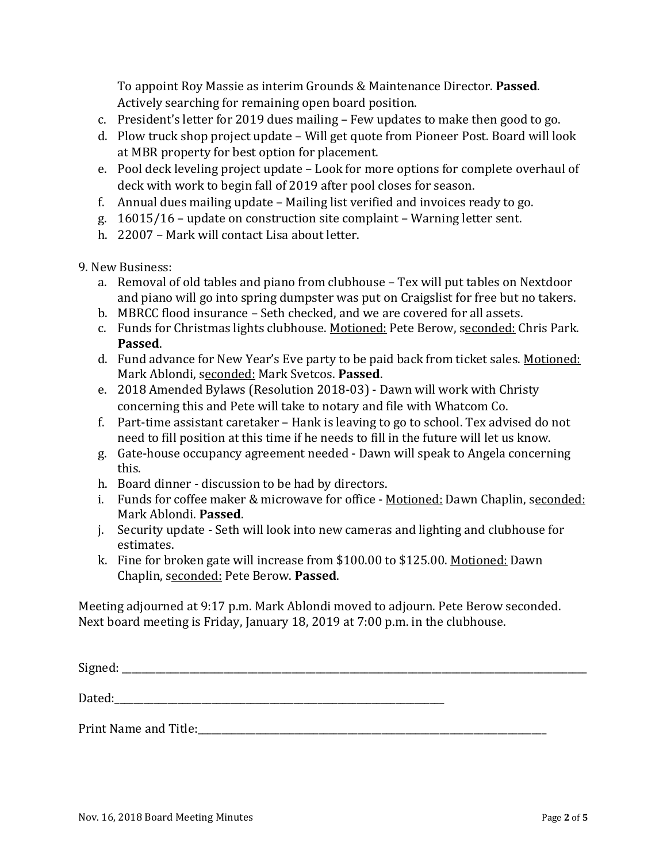To appoint Roy Massie as interim Grounds & Maintenance Director. **Passed**. Actively searching for remaining open board position.

- c. President's letter for 2019 dues mailing Few updates to make then good to go.
- d. Plow truck shop project update Will get quote from Pioneer Post. Board will look at MBR property for best option for placement.
- e. Pool deck leveling project update Look for more options for complete overhaul of deck with work to begin fall of 2019 after pool closes for season.
- f. Annual dues mailing update Mailing list verified and invoices ready to go.
- g. 16015/16 update on construction site complaint Warning letter sent.
- h. 22007 Mark will contact Lisa about letter.
- 9. New Business:
	- a. Removal of old tables and piano from clubhouse Tex will put tables on Nextdoor and piano will go into spring dumpster was put on Craigslist for free but no takers.
	- b. MBRCC flood insurance Seth checked, and we are covered for all assets.
	- c. Funds for Christmas lights clubhouse. Motioned: Pete Berow, seconded: Chris Park. **Passed**.
	- d. Fund advance for New Year's Eve party to be paid back from ticket sales. Motioned: Mark Ablondi, seconded: Mark Svetcos. **Passed**.
	- e. 2018 Amended Bylaws (Resolution 2018-03) Dawn will work with Christy concerning this and Pete will take to notary and file with Whatcom Co.
	- f. Part-time assistant caretaker Hank is leaving to go to school. Tex advised do not need to fill position at this time if he needs to fill in the future will let us know.
	- g. Gate-house occupancy agreement needed Dawn will speak to Angela concerning this.
	- h. Board dinner discussion to be had by directors.
	- i. Funds for coffee maker & microwave for office Motioned: Dawn Chaplin, seconded: Mark Ablondi. **Passed**.
	- j. Security update Seth will look into new cameras and lighting and clubhouse for estimates.
	- k. Fine for broken gate will increase from \$100.00 to \$125.00. Motioned: Dawn Chaplin, seconded: Pete Berow. **Passed**.

Meeting adjourned at 9:17 p.m. Mark Ablondi moved to adjourn. Pete Berow seconded. Next board meeting is Friday, January 18, 2019 at 7:00 p.m. in the clubhouse.

| Dated:                |  |  |
|-----------------------|--|--|
| Print Name and Title: |  |  |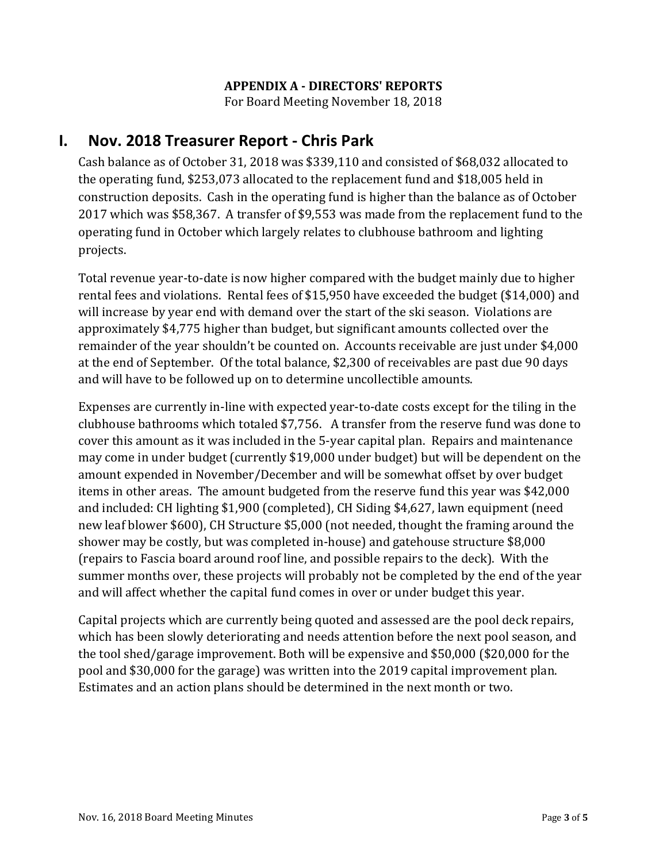## **APPENDIX A - DIRECTORS' REPORTS**

For Board Meeting November 18, 2018

# **I. Nov. 2018 Treasurer Report - Chris Park**

Cash balance as of October 31, 2018 was \$339,110 and consisted of \$68,032 allocated to the operating fund, \$253,073 allocated to the replacement fund and \$18,005 held in construction deposits. Cash in the operating fund is higher than the balance as of October 2017 which was \$58,367. A transfer of \$9,553 was made from the replacement fund to the operating fund in October which largely relates to clubhouse bathroom and lighting projects.

Total revenue year-to-date is now higher compared with the budget mainly due to higher rental fees and violations. Rental fees of \$15,950 have exceeded the budget (\$14,000) and will increase by year end with demand over the start of the ski season. Violations are approximately \$4,775 higher than budget, but significant amounts collected over the remainder of the year shouldn't be counted on. Accounts receivable are just under \$4,000 at the end of September. Of the total balance, \$2,300 of receivables are past due 90 days and will have to be followed up on to determine uncollectible amounts.

Expenses are currently in-line with expected year-to-date costs except for the tiling in the clubhouse bathrooms which totaled \$7,756. A transfer from the reserve fund was done to cover this amount as it was included in the 5-year capital plan. Repairs and maintenance may come in under budget (currently \$19,000 under budget) but will be dependent on the amount expended in November/December and will be somewhat offset by over budget items in other areas. The amount budgeted from the reserve fund this year was \$42,000 and included: CH lighting \$1,900 (completed), CH Siding \$4,627, lawn equipment (need new leaf blower \$600), CH Structure \$5,000 (not needed, thought the framing around the shower may be costly, but was completed in-house) and gatehouse structure \$8,000 (repairs to Fascia board around roof line, and possible repairs to the deck). With the summer months over, these projects will probably not be completed by the end of the year and will affect whether the capital fund comes in over or under budget this year.

Capital projects which are currently being quoted and assessed are the pool deck repairs, which has been slowly deteriorating and needs attention before the next pool season, and the tool shed/garage improvement. Both will be expensive and \$50,000 (\$20,000 for the pool and \$30,000 for the garage) was written into the 2019 capital improvement plan. Estimates and an action plans should be determined in the next month or two.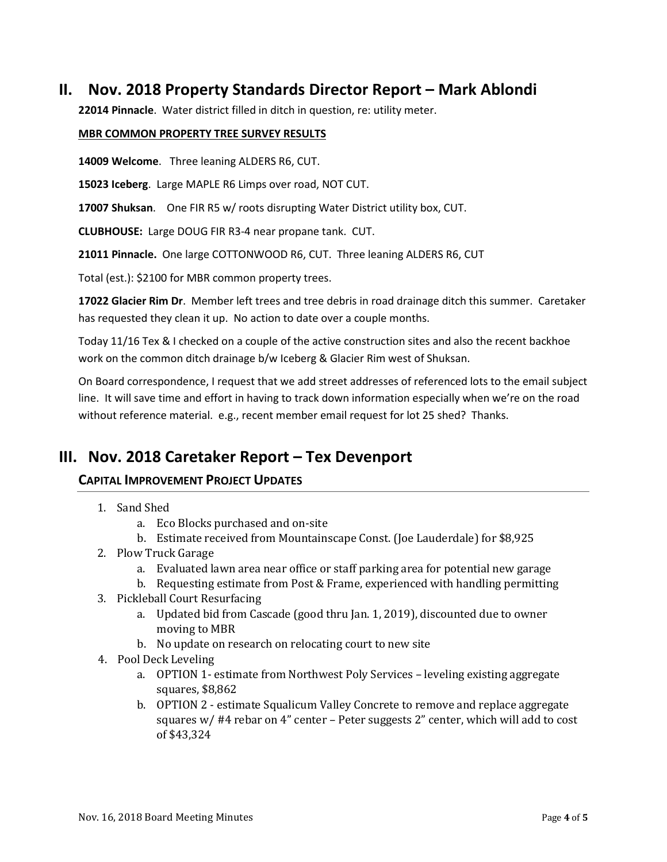# **II. Nov. 2018 Property Standards Director Report – Mark Ablondi**

**22014 Pinnacle**. Water district filled in ditch in question, re: utility meter.

#### **MBR COMMON PROPERTY TREE SURVEY RESULTS**

**14009 Welcome**. Three leaning ALDERS R6, CUT.

**15023 Iceberg**. Large MAPLE R6 Limps over road, NOT CUT.

**17007 Shuksan**. One FIR R5 w/ roots disrupting Water District utility box, CUT.

**CLUBHOUSE:** Large DOUG FIR R3-4 near propane tank. CUT.

**21011 Pinnacle.** One large COTTONWOOD R6, CUT. Three leaning ALDERS R6, CUT

Total (est.): \$2100 for MBR common property trees.

**17022 Glacier Rim Dr**. Member left trees and tree debris in road drainage ditch this summer. Caretaker has requested they clean it up. No action to date over a couple months.

Today 11/16 Tex & I checked on a couple of the active construction sites and also the recent backhoe work on the common ditch drainage b/w Iceberg & Glacier Rim west of Shuksan.

On Board correspondence, I request that we add street addresses of referenced lots to the email subject line. It will save time and effort in having to track down information especially when we're on the road without reference material. e.g., recent member email request for lot 25 shed? Thanks.

# **III. Nov. 2018 Caretaker Report – Tex Devenport**

## **CAPITAL IMPROVEMENT PROJECT UPDATES**

- 1. Sand Shed
	- a. Eco Blocks purchased and on-site
	- b. Estimate received from Mountainscape Const. (Joe Lauderdale) for \$8,925
- 2. Plow Truck Garage
	- a. Evaluated lawn area near office or staff parking area for potential new garage
	- b. Requesting estimate from Post & Frame, experienced with handling permitting
- 3. Pickleball Court Resurfacing
	- a. Updated bid from Cascade (good thru Jan. 1, 2019), discounted due to owner moving to MBR
	- b. No update on research on relocating court to new site
- 4. Pool Deck Leveling
	- a. OPTION 1- estimate from Northwest Poly Services leveling existing aggregate squares, \$8,862
	- b. OPTION 2 estimate Squalicum Valley Concrete to remove and replace aggregate squares w/ #4 rebar on 4" center – Peter suggests 2" center, which will add to cost of \$43,324